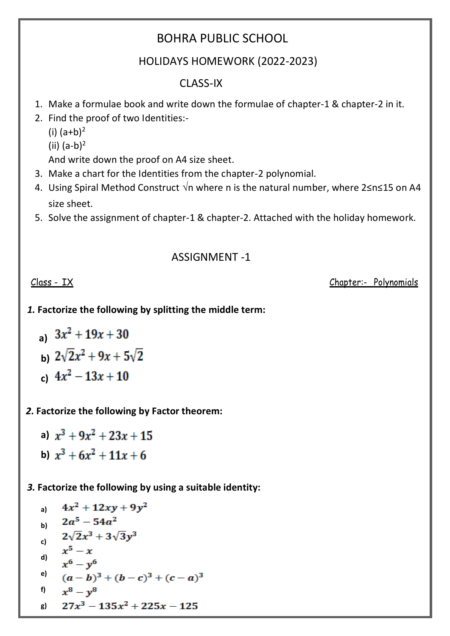# BOHRA PUBLIC SCHOOL

## HOLIDAYS HOMEWORK (2022-2023)

# CLASS-IX

- 1. Make a formulae book and write down the formulae of chapter-1 & chapter-2 in it.
- 2. Find the proof of two Identities:-
	- (i)  $(a+b)^2$
	- (ii)  $(a-b)^2$

And write down the proof on A4 size sheet.

- 3. Make a chart for the Identities from the chapter-2 polynomial.
- 4. Using Spiral Method Construct *√*n where n is the natural number, where 2≤n≤15 on A4 size sheet.
- 5. Solve the assignment of chapter-1 & chapter-2. Attached with the holiday homework.

## ASSIGNMENT -1

Class - IX Chapter:- Polynomials

#### *1.* **Factorize the following by splitting the middle term:**

a) 
$$
3x^2 + 19x + 30
$$
  
b)  $2\sqrt{2}x^2 + 9x + 5\sqrt{2}$   
c)  $4x^2 - 13x + 10$ 

### *2.* **Factorize the following by Factor theorem:**

a)  $x^3 + 9x^2 + 23x + 15$ **b)**  $x^3 + 6x^2 + 11x + 6$ 

#### *3.* **Factorize the following by using a suitable identity:**

a) 
$$
4x^2 + 12xy + 9y^2
$$
  
\nb)  $2a^5 - 54a^2$   
\nc)  $2\sqrt{2}x^3 + 3\sqrt{3}y^3$   
\nd)  $x^5 - x$   
\nd)  $x^6 - y^6$   
\ne)  $(a - b)^3 + (b - c)^3 + (c - a)^3$   
\nf)  $x^8 - y^8$   
\ng)  $27x^3 - 135x^2 + 225x - 125$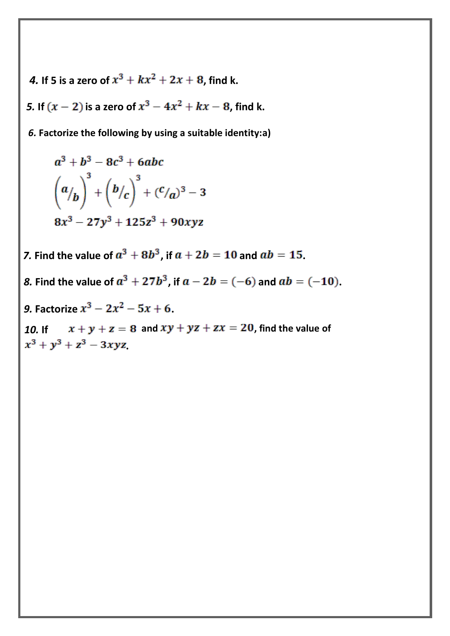**4.** If 5 is a zero of  $x^3 + kx^2 + 2x + 8$ , find k.

5. If  $(x - 2)$  is a zero of  $x^3 - 4x^2 + kx - 8$ , find k.

 *6.* **Factorize the following by using a suitable identity:a)**

$$
a^{3} + b^{3} - 8c^{3} + 6abc
$$
  

$$
\left(a/b\right)^{3} + \left(b/c\right)^{3} + \left(c/a\right)^{3} - 3
$$
  

$$
8x^{3} - 27y^{3} + 125z^{3} + 90xyz
$$

*7.* Find the value of  $a^3 + 8b^3$ , if  $a + 2b = 10$  and  $ab = 15$ .

*8.* Find the value of  $a^3 + 27b^3$ , if  $a - 2b = (-6)$  and  $ab = (-10)$ .

9. **Factorize**  $x^3 - 2x^2 - 5x + 6$ .

10. If  $x + y + z = 8$  and  $xy + yz + zx = 20$ , find the value of  $x^3 + y^3 + z^3 - 3xyz$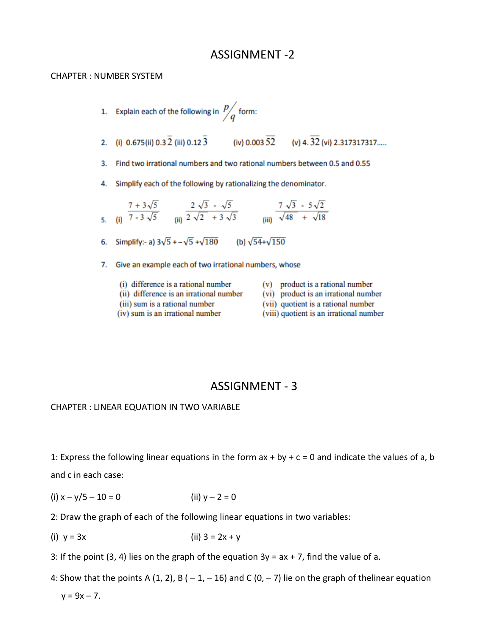#### ASSIGNMENT -2

#### CHAPTER : NUMBER SYSTEM

- 1. Explain each of the following in  $\frac{p}{q}$  form: 2. (i) 0.675(ii) 0.3  $\overline{2}$  (iii) 0.12  $\overline{3}$  (iv) 0.003  $\overline{52}$  (v) 4.  $\overline{32}$  (vi) 2.317317317.... 3. Find two irrational numbers and two rational numbers between 0.5 and 0.55 4. Simplify each of the following by rationalizing the denominator. 5. (i)  $\frac{7+3\sqrt{5}}{7-3\sqrt{5}}$  (ii)  $\frac{2\sqrt{3}-\sqrt{5}}{2\sqrt{2}+3\sqrt{3}}$  (iii)  $\frac{7\sqrt{3}-5\sqrt{2}}{\sqrt{48}+\sqrt{18}}$ 6. Simplify:- a)  $3\sqrt{5}$  +  $-\sqrt{5}$  + $\sqrt{180}$ (b)  $\sqrt{54} + \sqrt{150}$ 7. Give an example each of two irrational numbers, whose
	- (i) difference is a rational number (ii) difference is an irrational number
	- (iii) sum is a rational number
	- (iv) sum is an irrational number
- (v) product is a rational number
- (vi) product is an irrational number
- (vii) quotient is a rational number
- (viii) quotient is an irrational number

#### ASSIGNMENT - 3

#### CHAPTER : LINEAR EQUATION IN TWO VARIABLE

1: Express the following linear equations in the form  $ax + by + c = 0$  and indicate the values of a, b and c in each case:

- (i)  $x y/5 10 = 0$  (ii)  $y 2 = 0$
- 2: Draw the graph of each of the following linear equations in two variables:
- (i)  $y = 3x$  (ii)  $3 = 2x + y$
- 3: If the point (3, 4) lies on the graph of the equation  $3y = ax + 7$ , find the value of a.
- 4: Show that the points A (1, 2), B ( $-1$ ,  $-16$ ) and C (0,  $-7$ ) lie on the graph of thelinear equation  $y = 9x - 7$ .